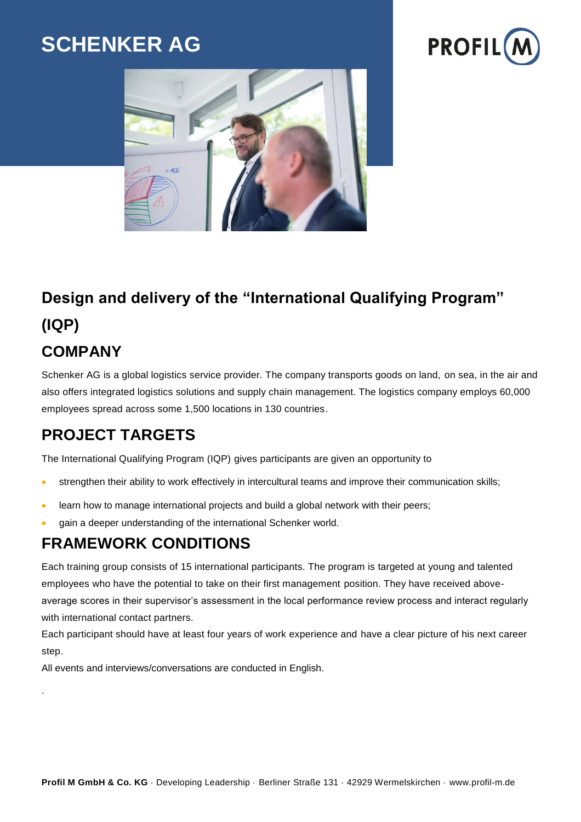# **SCHENKER AG**





# **Design and delivery of the "International Qualifying Program" (IQP)**

# **COMPANY**

.

Schenker AG is a global logistics service provider. The company transports goods on land, on sea, in the air and also offers integrated logistics solutions and supply chain management. The logistics company employs 60,000 employees spread across some 1,500 locations in 130 countries.

## **PROJECT TARGETS**

The International Qualifying Program (IQP) gives participants are given an opportunity to

- strengthen their ability to work effectively in intercultural teams and improve their communication skills;
- learn how to manage international projects and build a global network with their peers;
- gain a deeper understanding of the international Schenker world.

#### **FRAMEWORK CONDITIONS**

Each training group consists of 15 international participants. The program is targeted at young and talented employees who have the potential to take on their first management position. They have received aboveaverage scores in their supervisor's assessment in the local performance review process and interact regularly with international contact partners.

Each participant should have at least four years of work experience and have a clear picture of his next career step.

All events and interviews/conversations are conducted in English.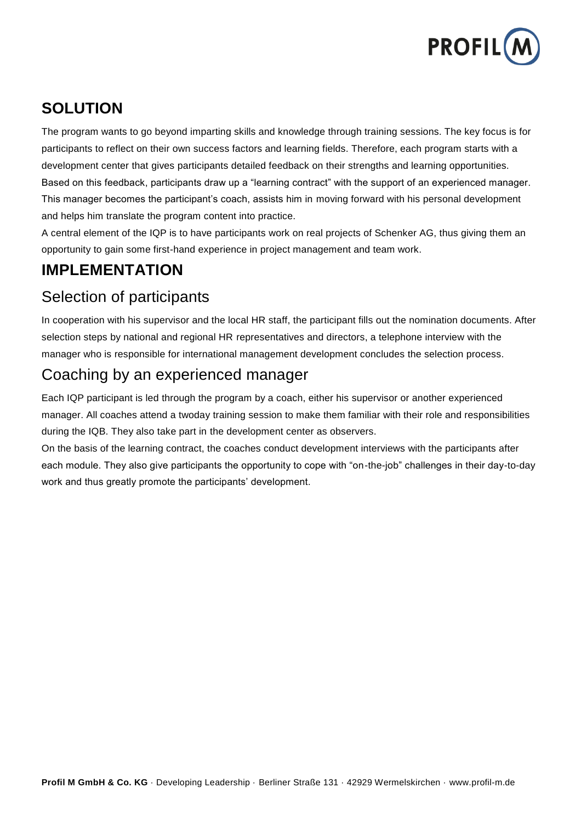

## **SOLUTION**

The program wants to go beyond imparting skills and knowledge through training sessions. The key focus is for participants to reflect on their own success factors and learning fields. Therefore, each program starts with a development center that gives participants detailed feedback on their strengths and learning opportunities. Based on this feedback, participants draw up a "learning contract" with the support of an experienced manager. This manager becomes the participant's coach, assists him in moving forward with his personal development and helps him translate the program content into practice.

A central element of the IQP is to have participants work on real projects of Schenker AG, thus giving them an opportunity to gain some first-hand experience in project management and team work.

#### **IMPLEMENTATION**

### Selection of participants

In cooperation with his supervisor and the local HR staff, the participant fills out the nomination documents. After selection steps by national and regional HR representatives and directors, a telephone interview with the manager who is responsible for international management development concludes the selection process.

#### Coaching by an experienced manager

Each IQP participant is led through the program by a coach, either his supervisor or another experienced manager. All coaches attend a twoday training session to make them familiar with their role and responsibilities during the IQB. They also take part in the development center as observers.

On the basis of the learning contract, the coaches conduct development interviews with the participants after each module. They also give participants the opportunity to cope with "on-the-job" challenges in their day-to-day work and thus greatly promote the participants' development.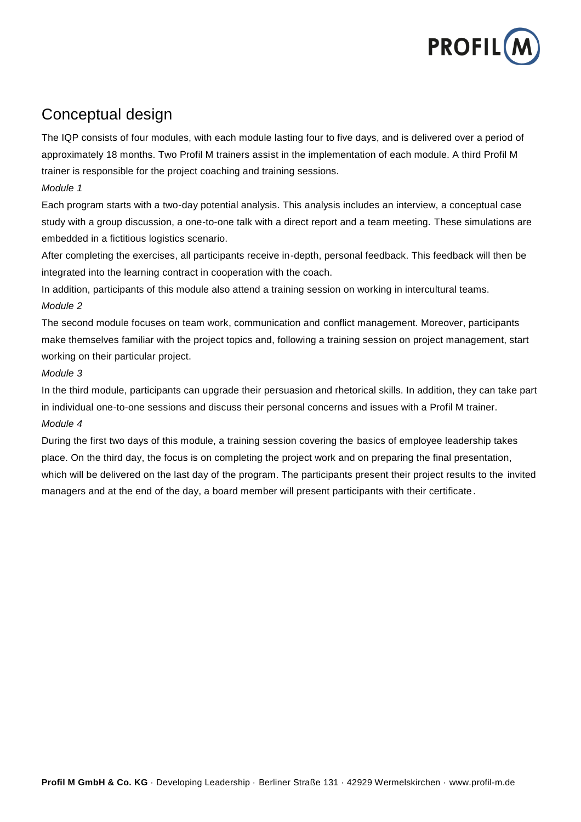

#### Conceptual design

The IQP consists of four modules, with each module lasting four to five days, and is delivered over a period of approximately 18 months. Two Profil M trainers assist in the implementation of each module. A third Profil M trainer is responsible for the project coaching and training sessions.

#### *Module 1*

Each program starts with a two-day potential analysis. This analysis includes an interview, a conceptual case study with a group discussion, a one-to-one talk with a direct report and a team meeting. These simulations are embedded in a fictitious logistics scenario.

After completing the exercises, all participants receive in-depth, personal feedback. This feedback will then be integrated into the learning contract in cooperation with the coach.

In addition, participants of this module also attend a training session on working in intercultural teams. *Module 2*

The second module focuses on team work, communication and conflict management. Moreover, participants make themselves familiar with the project topics and, following a training session on project management, start working on their particular project.

#### *Module 3*

In the third module, participants can upgrade their persuasion and rhetorical skills. In addition, they can take part in individual one-to-one sessions and discuss their personal concerns and issues with a Profil M trainer. *Module 4*

During the first two days of this module, a training session covering the basics of employee leadership takes place. On the third day, the focus is on completing the project work and on preparing the final presentation, which will be delivered on the last day of the program. The participants present their project results to the invited managers and at the end of the day, a board member will present participants with their certificate.